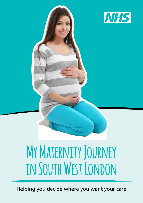

# **My Maternity Journey in South West London**

Helping you decide where you want your care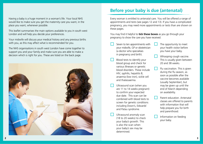Having a baby is a huge moment in a woman's life. Your local NHS would like to make sure you get the maternity care you want, in the place you want, whenever possible.

This leaflet summarises the main options available to you in south west London and will help you decide your preferences.

Your midwife will discuss your medical history and any previous births with you, as this may affect what is recommended for you.

The NHS organisations in south west London have come together to support you and your family and make sure you are able to make a decision which is right for you. These are listed on the back page.



## **Before your baby is due (antenatal)**

Every woman is entitled to antenatal care. You will be offered a range of appointments and tests (see pages 12 and 13). If you have a complicated pregnancy, you may need more appointments or tests than are shown on these pages.

You may find it helpful to **tick these boxes** as you go through your pregnancy to show the care you have received.

- Seven to ten appointments with your midwife, GP or obstetrician (a doctor who specialises in pregnancy and birth).
- Blood tests to identify your blood group and check for various illnesses or genetic blood disorders. These include HIV, syphilis, hepatitis B, anaemia (low iron), sickle cell and thalassaemia.
- Ultrasound scan (when you are 11 to 14 weeks pregnant) to confirm your expected due date. This scan can be combined with blood tests to screen for genetic conditions including Down's, Edwards' and Patau syndrome.
- Ultrasound anomaly scan (18 to 20 weeks) to check your baby's growth. This is also the scan when your baby's sex may be determined.
- The opportunity to meet your health visitor before you have your baby.
- Whooping cough vaccine. This is usually given between 20 and 38 weeks.
- Flu vaccination. This is given during the flu season, as soon as possible after the vaccine becomes available (usually September), but may be given up until the end of March depending on availability.
- $\Box$  Parent education. Antenatal classes are offered to parents with information that will help prepare you for birth and parenthood.
- Information on feeding your baby.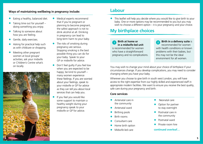#### **Ways of maintaining wellbeing in pregnancy include:**

- Eating a healthy, balanced diet.
- Taking time out for yourself doing something you enjoy.
- Talking to someone about how you are feeling.
- Gentle, daily exercises.
- Asking for practical help such as with childcare or shopping.
- Meeting other pregnant women at local groups/ activities; ask your midwife or Children's Centre what's on locally.



- Medical experts recommend that if you're pregnant or planning to become pregnant, the safest approach is not to drink alcohol at all. Drinking in pregnancy can lead to long-term harm to your baby.
- The risks of smoking during pregnancy are serious. Stopping smoking is the best possible thing you can do for your baby. Speak to your GP or midwife for advice.
- Don't feel guilty if you feel low when you are expected to be happy; be kind to yourself – many women experience these feelings. If you are worried about your feelings, speak to your midwife or GP for advice as they can tell you about local services that can help you.
- **•** If you feel you would like some support to maintain a healthy weight during your pregnancy speak to your midwife or GP for advice.

## **Labour**

• This leaflet will help you decide where you would like to give birth to your baby. One or more options may be recommended to you but you may wish to choose a different option – it is your pregnancy and your choice.

## **My birthplace choices**

#### **<sup>1</sup> Birth at home or in a midwife-led unit** is recommended for women who have a straightforward pregnancy and no complications.

**<sup>2</sup> Birth in a delivery suite** is recommended for women with health conditions or known problems with their babies, but this may not be the ideal environment for all women.

You may wish to change your mind about your choice of birthplace if your circumstances change. If you develop complications, you may need to consider changing where you have your baby.

Wherever you choose to give birth in south west London, you will have access to the right expertise from our highly skilled and experienced staff in appropriate modern facilities. We want to ensure you receive the best quality, safe care during your pregnancy and birth.

#### **Core services**

- Antenatal care in the community
- Antenatal ward
- Birthing pools
- Birth rooms
- Consultant care
- Home birth option
- Midwife-led care
- Neonatal care
- Option for partner to stay overnight
- Postnatal care in the community
- Postnatal ward
- Private room hire

**continued overleaf…**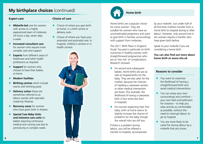## **My birthplace choices** (continued)

#### **Expert care**

#### **Choice of care**

- **• Midwife-led** care for women with access to a highly experienced team of midwives 24 hours a day, seven days a week
- **• Increased consultant care**  for women who require more complex care and support
- **Experts** from different areas of healthcare and other health professions as required
- **• Support** for women who choose to have their babies at home
- **• Modern facilities**
- **• Birthing centres** which include rooms with birthing pools
- **Delivery suites** (these are sometimes referred to as labour wards) with specialist maternity theatres
- **• Recovery areas** for women who have given birth in theatre
- **• Special Care Baby Units and intensive care units** for babies requiring continuous medical and nursing care due to prematurity or complex needs

- Choice of where you give birth: at home, in a birth centre or delivery suite
- Choice of where you have your antenatal and postnatal care: in hospital, children's centres or in health centres





#### **Home birth**

Home births are a popular choice for some women. They are suitable for women who have an uncomplicated pregnancy and want to give birth in familiar surroundings with support from midwives.

The 2011 'Birth Place in England Study' focused in particular on birth outcomes in healthy women with straightforward pregnancies who are at 'low risk' of complications. Research showed:

- For second and subsequent babies, home births are just as safe as hospital births for the baby. They are also safer for the mother, because her chances of needing a caesarean section or other medical intervention are lower. (For example, the likelihood of having a caesarean birth is four times less than in hospital).
- For women expecting their first baby, birth at home seems to slightly increase the chance of problems for the baby though the overall risks are still low.

If there is a problem during labour, you will be offered a transfer to hospital, accompanied by your midwife. Just under half of all first-time mothers transfer from a home birth to hospital during or after labour. However, only around one in ten women require a transfer who have given birth before.

Speak to your midwife if you are considering a home birth.

#### **You can also find out more about home birth at www.nhs.uk**

#### **Reasons to consider**

- You want to maximise the likelihood of having a straightforward birth and avoid medical interventions.
- You can enjoy your own surroundings and comforts – your own bed and bathroom for instance – to help you relax and be as comfortable as possible, without the need to interrupt labour to go to hospital.
- You are more likely to be cared for during labour by a midwife that you know.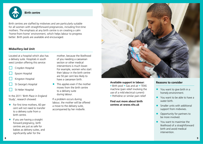

#### **Birth centre**

Birth centres are staffed by midwives and are particularly suitable for all women with straightforward pregnancies, including first-time mothers. The emphasis at any birth centre is on creating a calm 'home-from-home' environment, which helps labour to progress better. Birth pools are available and encouraged.

#### **Midwifery-led Unit**

Located at a hospital which also has a delivery suite. Hospitals in south west London offering this service:

- Croydon Hospital
- Epsom Hospital
- Kingston Hospital
- St George's Hospital
- St Helier Hospital

In the 2011 'Birth Place in England Study', research showed:

- For first time mothers, 60 per cent will not need to transfer to a delivery suite from a birth centre.
- If you are having a straight forward pregnancy, birth centres are just as safe for babies as delivery suites, and significantly safer for the

mother, because the likelihood of you needing a caesarean section or other medical interventions is much lower. For example, women who start their labour in the birth centre are 50 per cent less likely to have a caesarean birth.

This applies even if the mother moves from the birth centre to a delivery suite during labour.

If a problem occurs during labour, the mother will be offered a move to the delivery suite, accompanied by her midwife.



#### **Available support in labour:**

• Birth pool • Gas and air • TENS machine (pain relief involving the use of a mild electrical current) • Pethidine or similar pain relief

**Find out more about birth centres at www.nhs.uk**

#### **Reasons to consider**

- You want to give birth in a homely environment.
- You want to be able to have a water birth.
- Smaller units with additional support from midwives.
- Opportunity for partners to be more involved.
- You want to maximise the likelihood of a straightforward birth and avoid medical intervention.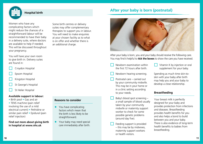

#### **Hospital birth**

## Women who have any complicating factors which

might reduce the chances of a straightforward labour will be recommended to have their baby in a delivery suite, where doctors are available to help if needed. This will be discussed throughout your pregnancy.

You will have your own room to give birth in. Delivery suites are found in:



- Epsom Hospital
- Kingston Hospital
- St George's Hospital
- St Helier Hospital

#### **Available support in labour:**

• Birth pool • Gas and air • TENS machine (pain relief involving the use of a mild electrical current) • Pethidine or similar pain relief • Epidural (pain relief injection)

**Find out more about giving birth in hospital at www.nhs.uk**

Some birth centres or delivery suites may offer complementary therapies to support you in labour. You will need to make enquiries at your chosen facility as to what is on offer and whether there is an additional charge.

#### **Reasons to consider**

- You have complicating factors which mean that the birth is less likely to be straightforward.
- Your baby may need special care immediately after birth.

## **After your baby is born (postnatal)**



After your baby is born, you and your baby should receive the following care. You may find it helpful to **tick the boxes** to show the care you have received.

- Newborn examination within the first 72 hours after birth.
- Newborn hearing screening.
- Postnatal care carried out by your community midwife. This may be in your home or in a clinic setting according to your needs.
- Baby's blood spot screening a small sample of blood usually taken by your community midwife or maternity support worker to check for some possible genetic problems (around day five).
- Feeding support is provided – this may be by midwives, maternity support workers or health visitors.

 $\Box$  Vitamin K by injection or oral supplement for your baby.

Spending as much time skin-toskin with your baby after birth may help you and your baby to develop a close relationship.

#### **Breastfeeding**

Your breast milk is perfectly designed for your baby and provides protection from infections and diseases. Breastfeeding provides health benefits for you and also helps a bond to build between you and your baby. There is also evidence of long-term health benefits to babies from breastfeeding.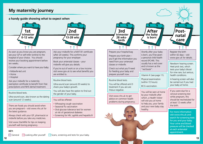## **My maternity journey**

**a handy guide showing what to expect when**



As soon as you know you are pregnant, see your GP or self-refer (online) to the hospital of your choice. You should receive your booking appointment before ten weeks.

Consider where you want to have your baby:

- Midwife-led unit
- Home
- Hospital

Ask your midwife for a maternity exemption certificate to benefit from free prescriptions and NHS dental treatment.

Routine blood tests.

Ultra-sound scan, also known as the dating scan (around 12 weeks).

There are foods you should avoid when you are pregnant – visit www.nhs.uk for the latest guidance.

Always check with your GP, pharmacist or midwife before you take any medicines.

Visit www.Start4life for tips on keeping yourself well during pregnancy.

Ask your midwife for a MAT B1 certificate (after 20 weeks). This confirms your pregnancy for your employer.

Ō.  $\circ$ 

2nd

**trimester 13-28 wks**

Book your antenatal classes – your midwife will give you details.

If you're out of work or on a low income visit www.gov.uk to see what benefits you are entitled to.

#### Routine blood tests.

Ultra-sound scan (around 20 weeks) to check your baby's growth.

You will also have the option to find out the gender of your baby.

You will be offered:

- Whooping cough vaccination
- Seasonal flu vaccination
- Oral glucose tolerance test for women at risk of gestational diabetes
- Screening for HIV, syphilis and hepatitis B

3rd **After** Post**the baby trimester natal 28 wksis born care birth**  $O$   $O$  $\bullet$  $\circ$  $\circ$  $\circ$ Prepare your hospital bag Shortly after your baby Register the birth is born, you'll be given within 42 days – visit Prepare your birth plan – a personal child health www.gov.uk for details. you'll get the information you record (PCHR). This need from your antenatal usually has a red cover Newborn hearing screen. classes or midwife. and is known as the Heel prick test, which Check out what you'll need "red book". tests your baby's blood for feeding your baby and for nine rare, but serious, prepare yourself now. Vitamin K (see page 11). health conditions. Physical examination A hearing screen will also Routine blood tests. (within 72 hours). be carried out if you had You will be offered anti D your baby at home. BCG vaccination. treatment if you are are rhesus negative. If you were due for a You will be seen at home cervical screening test by your midwife after Visit www.nhs.uk to get while pregnant, this which, a Health Visitor advice on common health should be rescheduled for will visit you at home problems during pregnancy. at least 12 weeks after to help you, your family the birth. and your new baby stay healthy. For more information

visit www.nhs.uk and search for screening tests for you and your baby. Your urine and blood pressure will be checked at each antenatal

appointment.

#### **KEY:**

 $\Box$  General  $\Box$  Looking after yourself  $\Box$  Scans, screening and tests for your baby.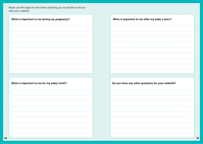Please use this page to note down anything you would like to discuss with your midwife.

**14**

| What is important to me during my pregnancy? | What is important to me after my baby is born?    |
|----------------------------------------------|---------------------------------------------------|
|                                              |                                                   |
|                                              |                                                   |
|                                              |                                                   |
|                                              |                                                   |
|                                              |                                                   |
|                                              |                                                   |
|                                              |                                                   |
| What is important to me for my baby's birth? | Do you have any other questions for your midwife? |
|                                              |                                                   |
|                                              |                                                   |
|                                              |                                                   |
|                                              |                                                   |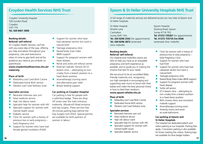Croydon University Hospital 530 London Road Croydon CR7 7YE **Tel. 020 8401 3000**

#### **Booking details: Referral/ self-referral**

At Croydon Health Services, we'll be with you every step of the way, offering you help and advice throughout your pregnancy, care and reassurance when it's time to give birth and all the guidance you need as you embark on parenthood.

**www.croydonhealthservices.nhs.uk/ maternity**

#### **Place of birth**

- Midwifery Led Care/ Birth Centre
- Dedicated Home Birth service
- Obsteric Led Care/ Delivery Suite

#### **Specialist services**

- Neonatal intensive care unit
- Fetal medicine service
- High risk labour ward
- Specialist help for women with HIV
- Specialist support for women with mental health issues
- Diabetic service
- Clinic for women with a history of previous loss or early pregnancy – Early Pregnancy Unit
- Support for women who have had female genital mutilation (FGM)
- Support for women who have had caesarean section but want a natural birth
- Teenage pregnancy clinic<br>• Raised body mass index
- Raised body mass index (BMI) support
- Support for pregnant women with heart disease
- Renal and sickle cell referral centre
- **External Cephalic Version (ECV)** breech clinic – attempting to turn a baby from a breech position to a head down position
- Aromatherapy (coming soon) and alternative pain relief
- **•** Breast feeding support

#### **Car parking at Croydon Hospital**

Car parking is free for people with a valid blue badge. There are drop off zones near the main entrance, maternity, Woodcroft Road entrance and day surgery. There are two free 30-minute parking bays behind the Day Surgery Unit (DSU). Special permits are available for birth partners of women in labour.

### **Croydon Health Services NHS Trust Epsom & St Helier University Hospitals NHS Trust**

A full range of maternity services are delivered across our two sites at Epsom and St Helier hospitals.

St Helier Hospital Wrythe Lane **Carshalton** Surrey SM5 1AA **Tel. 020 8296 2542** (for appointments) **Tel. 020 8296 2872** (antenatal clinic midwife)

### **Booking details: Referral/ self-referral**

Our experienced midwifery teams are here to help you have as an enjoyable pregnancy and birth experience as possible, and to guide you in making the choices that best fit your needs.

We are proud to be an accredited Baby Friendly maternity unit, recognising our high standards in encouraging and supporting new mums to bond with their babies and make the best personal choice in how to feed their newborn. **www.epsom-sthelier.nhs.uk**

#### **Place of birth**

- Midwifery Led Care/ Birth Centre
- Dedicated Home Birth service
- Obsteric Led Care/ Delivery Suite

#### **Specialist services**

- Neonatal intensive care unit
- Fetal medicine service
- High risk labour ward
- Specialist help for women with HIV
- Specialist support for women with mental health issues
- **•** Specialist diabetic service

Epsom Hospital Dorking Road, Epsom Surrey KT18 7EG **Tel. 01372 735367** (for appointments) **Tel. 01372 735735 Ext 6566**  (antenatal clinic midwife)

- Clinic for women with a history of previous loss or early pregnancy – Early Pregnancy Clinic
- Support for women who have had FGM
- Support for women who have had caesarean section but want a natural birth
- Teenage pregnancy clinic
- Raised Body Mass Index (BMI) support
- Support for pregnant women with heart disease
- Sickle cell service
- ECV breech clinic attempting to turn a baby from a breech position to a head down position
- Birth choices clinics and consultant midwife support
- Aromatherapy (coming soon)
- Amenity rooms and some en-suite bathrooms

#### **Car parking at Epsom and St Helier Hospitals**

The hospital has dedicated patient and visitor parking at our hospitals. Parking fees apply. Concession parking is also available for those meeting the criteria. Parking bays are available for blue badge holders.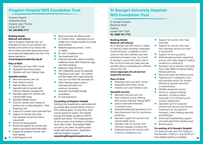## **Kingston Hospital NHS Foundation Trust St George's University Hospitals**

Kingston Hospital Galsworthy Road Kingston upon Thames Surrey KT2 7QB **Tel. 020 8546 7711**

#### **Booking details: Referral/ self-referral**

Here at Kingston Maternity Unit, our philosophy of care is to put women and families at the centre of our service. We aim to make every birth special and ensure your hopes and expectations are met in this special experience.

#### **www.kingstonmaternity.org.uk**

#### **Place of Birth**

- Midwifery Led Care / Birth Centre
- Dedicated Home birth service
- Obstetric Led Care / Delivery Suite

#### **Specialist services**

- Neonatal intensive care unit
- Fetal medicine service
- High risk labour ward
- Specialist help for women with infectious diseases including HIV
- Specialist support for women with mental health issues
- Specialist Diabetic service
- Clinic for women with a history of previous loss or early pregnancy – Early Pregnancy Unit
- Support for women who have had FGM
- Support for women who have had caesarean section but want a natural birth
- Service for young parents
- Nutritionist support for women with raised or low Body Mass Index (BMI)
- Support for pregnant women with heart disease
- **Early Pregnancy Unit**
- Renal and sickle cell referral centre
- ECV breech clinic attempting to turn a baby from a breech position to a head down position
- Multiple pregnancy service Twins or Triplets
- Pre Term Surveillance clinic
- Day Assessment Unit
- Antenatal education classes (including wellbeing classes: Birth & Beyond, yoga and infant feeding)
- Maternity Triage (24 hour)
- 24/7 anaesthetic service for epidurals
- Transitional Care ward for mothers and their baby's who need enhanced care, but not within the neonatal unit
- **•** Infant feeding support service / antenatal education and colostrum harvesting
- Awarded Unicef Baby Friendly accreditation
- **•** En-suite bathrooms

#### **Car parking at Kingston Hospital**

Parking at the hospital site is very limited and you should allow yourself plenty of time to find a parking space. At busy times, there may be queues for spaces. The hospital has pay and display car parks on site for patients and visitors. The charging period for the car park is from 8:00am to 8:00pm, seven days a week. Blue badge holders can park in any visitor car parking space except staff parking areas. Registration with the hospital is required: **carparking@kingstonhospital.nhs.uk**

# **NHS Foundation Trust**

St George's Hospital Blackshaw Road Tooting London SW17 0QT **Tel. 0208 725 1710**

#### **Booking details: Referral/ self-referral**

At St George's we offer choice in where to have your baby including a dedicated home birth team, a midwife-run birth centre on site and a delivery suite with extended consultant cover. As a result St George's is one of the safest units in the country to have your baby and was recently rated as outstanding for effective care by the CQC.

#### **www.stgeorges.nhs.uk/service/ maternity-services**

#### **Place of birth**

- Midwifery Led Care/ Birth Centre
- Dedicated Home Birth service
- Obsteric Led Care/ Delivery Suite

#### **Specialist services**

- Neonatal intensive care unit
- Fetal medicine service offering Non-Invasive Prenatal Testing (NIPT)
- Labour ward with extended Consultant hours
- Dedicated Maternity Dependency Unit
- Day Assessment Unit for monitoring pregnancy
- Specialist support for women with mental health issues
- Specialist help for women with infectious diseases including HIV
- Dedicated service for women with a history of pregnancy loss
- Support for women who have had FGM
- Support for women who have had caesarean section but want a natural birth
- Support for young parents
- Multi-disciplinary team supporting women with wide range of medical conditions in pregnancy
- Specialist care fo women with body mass index (BMI) including healthy lifestyle planning
- Renal and sickle cell referral centre
- Hypertension in pregnancy clinic and specialist service for women affected by growth restriction or preeclampsia
- Multiple pregnancy service
- Service to support smoking cessation, including carbon monoxide (CO) monitoring and nicotine replacement
- Specialist input for pregnant women with physical and sensory impairment by occupational therapists, infant feeding specialist and Midwives.
- Enhanced breastfeeding support and dedicated infant feeding team • Birthing pools

#### **Car parking at St George's Hospital**

Car parking is pay upon exit. Parking is free between 10:00 p.m. and 06:00 a.m. Free disabled parking is available. **18 19**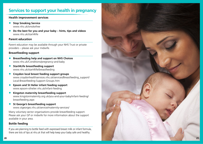## **Services to support your health in pregnancy**

## **Health improvement services • Stop Smoking Service**

- www.nhs.uk/smokefree
- **• Do the best for you and your baby hints, tips and videos** www.nhs.uk/start4life

#### **Parent education**

Parent education may be available through your NHS Trust or private providers – please ask your midwife.

#### **Breastfeeding support**

- **• Breastfeeding help and support on NHS Choices**  www.nhs.uk/Conditions/pregnancy-and-baby
- **• Start4Life breastfeeding support**  www.nhs.uk/start4life/breastfeeding
- **• Croydon local breast feeding support groups** www.croydonhealthservices.nhs.uk/services/Breastfeeding\_support/ Local-Breastfeeding-Support-Groups.htm
- **• Epsom and St Helier infant feeding support** www.epsom-sthelier.nhs.uk/infant-feeding
- **• Kingston maternity breastfeeding support** www.kingstonmaternity.org.uk/you-and-your-baby/infant-feeding/ breastfeeding.aspx
- **• St George's breastfeeding support** www.stgeorges.nhs.uk/service/maternity-services/

Many voluntary sector organisations provide breastfeeding support. Please ask your GP or midwife for more information about the support available in your area.

### **Bottle feeding**

If you are planning to bottle feed with expressed breast milk or infant formula, there are lots of tips at nhs.uk that will help keep your baby safe and healthy.

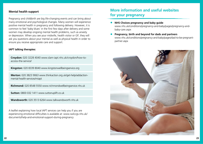#### **Mental health support**

Pregnancy and childbirth are big life-changing events and can bring about many emotional and psychological changes. Many women will experience positive mental health in pregnancy and following delivery. However, it is common to feel 'baby blues' in the first few days after delivery and some women may develop ongoing mental health problems, such as anxiety or depression. When you see your midwife, health visitor or GP, they will ask you questions about your mental as well as physical health in order to ensure you receive appropriate care and support.

#### **IAPT talking therapies:**

**Croydon:** 020 3228 4040 www.slam-iapt.nhs.uk/croydon/how-toaccess-the-service/

**Kingston:** 020 8339 8040 www.kingstonwellbeingservice.org

**Merton:** 020 3823 9063 www.thinkaction.org.uk/get-help/addactionmental-health-services/miapt

**Richmond:** 020 8548 5550 www.richmondwellbeingservice.nhs.uk

**Sutton:** 0800 032 1411 www.suttonuplift.co.uk

**Wandsworth:** 020 3513 6264 www.talkwandsworth.nhs.uk

A leaflet explaining how local IAPT services can help you if you are experiencing emotional difficulties is available at: www.swlccgs.nhs.uk/ documents/help-and-emotional-support-during-pregnancy

## **More information and useful websites for your pregnancy**

- **NHS Choices pregnancy and baby guide** www.nhs.uk/conditions/pregnancy-and-baby/pages/pregnancy-andbaby-care.aspx
- **• Pregnancy, birth and beyond for dads and partners** www.nhs.uk/conditions/pregnancy-and-baby/pages/dad-to-be-pregnantpartner.aspx